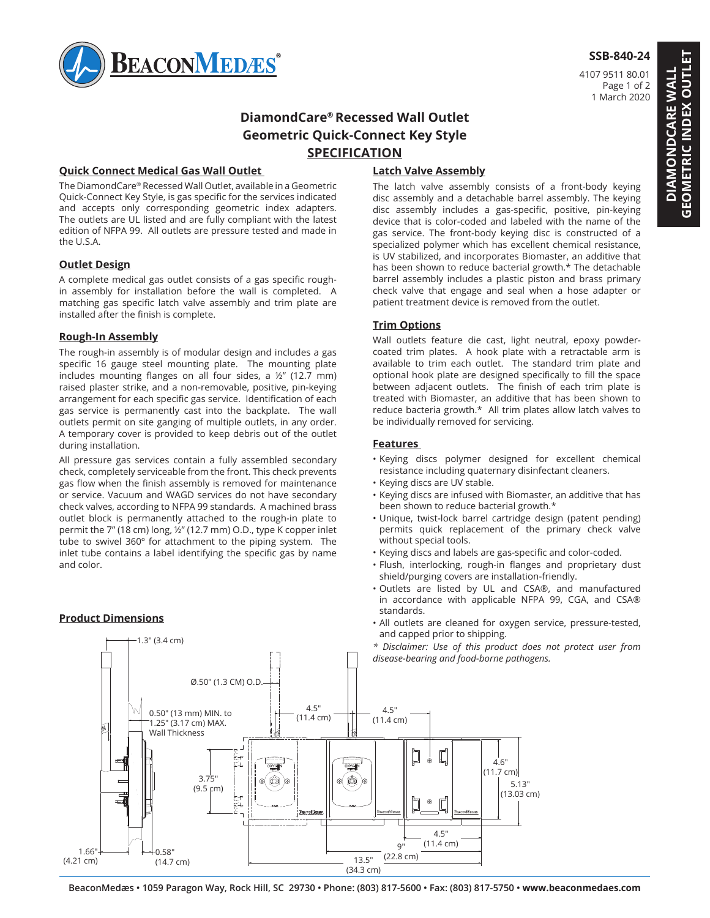

## **SSB-840-24**

4107 9511 80.01 Page 1 of 2 1 March 2020

## **DiamondCare® Recessed Wall Outlet Geometric Quick-Connect Key Style SPECIFICATION**

## **Quick Connect Medical Gas Wall Outlet**

The DiamondCare® Recessed Wall Outlet, available in a Geometric Quick-Connect Key Style, is gas specific for the services indicated and accepts only corresponding geometric index adapters. The outlets are UL listed and are fully compliant with the latest edition of NFPA 99. All outlets are pressure tested and made in the U.S.A.

## **Outlet Design**

A complete medical gas outlet consists of a gas specific roughin assembly for installation before the wall is completed. A matching gas specific latch valve assembly and trim plate are installed after the finish is complete.

## **Rough-In Assembly**

The rough-in assembly is of modular design and includes a gas specific 16 gauge steel mounting plate. The mounting plate includes mounting flanges on all four sides, a ½" (12.7 mm) raised plaster strike, and a non-removable, positive, pin-keying arrangement for each specific gas service. Identification of each gas service is permanently cast into the backplate. The wall outlets permit on site ganging of multiple outlets, in any order. A temporary cover is provided to keep debris out of the outlet during installation.

All pressure gas services contain a fully assembled secondary check, completely serviceable from the front. This check prevents gas flow when the finish assembly is removed for maintenance or service. Vacuum and WAGD services do not have secondary check valves, according to NFPA 99 standards. A machined brass outlet block is permanently attached to the rough-in plate to permit the 7" (18 cm) long, ½" (12.7 mm) O.D., type K copper inlet tube to swivel 360º for attachment to the piping system. The inlet tube contains a label identifying the specific gas by name and color.

## **Product Dimensions**

1.3" (3.4 cm)

## **Latch Valve Assembly**

The latch valve assembly consists of a front-body keying disc assembly and a detachable barrel assembly. The keying disc assembly includes a gas-specific, positive, pin-keying device that is color-coded and labeled with the name of the gas service. The front-body keying disc is constructed of a specialized polymer which has excellent chemical resistance, is UV stabilized, and incorporates Biomaster, an additive that has been shown to reduce bacterial growth.\* The detachable barrel assembly includes a plastic piston and brass primary check valve that engage and seal when a hose adapter or patient treatment device is removed from the outlet.

## **Trim Options**

Wall outlets feature die cast, light neutral, epoxy powdercoated trim plates. A hook plate with a retractable arm is available to trim each outlet. The standard trim plate and optional hook plate are designed specifically to fill the space between adjacent outlets. The finish of each trim plate is treated with Biomaster, an additive that has been shown to reduce bacteria growth.\* All trim plates allow latch valves to be individually removed for servicing.

#### **Features**

- Keying discs polymer designed for excellent chemical resistance including quaternary disinfectant cleaners.
- Keying discs are UV stable.
- Keying discs are infused with Biomaster, an additive that has been shown to reduce bacterial growth.\*
- Unique, twist-lock barrel cartridge design (patent pending) permits quick replacement of the primary check valve without special tools.
- Keying discs and labels are gas-specific and color-coded.
- Flush, interlocking, rough-in flanges and proprietary dust shield/purging covers are installation-friendly.
- 1 2 Outlets are listed by UL and CSA®, and manufactured in accordance with applicable NFPA 99, CGA, and CSA® standards.
- **Frouder Differential Contract and Service** All outlets are cleaned for oxygen service, pressure-tested, and capped prior to shipping.
	- *\* Disclaimer: Use of this product does not protect user from disease-bearing and food-borne pathogens.*



# **GEOMETRIC INDEX OUTLET GEOMETRIC INDEX OUTLET DIAMONDCARE WALL DIAMONDCARE WALL**